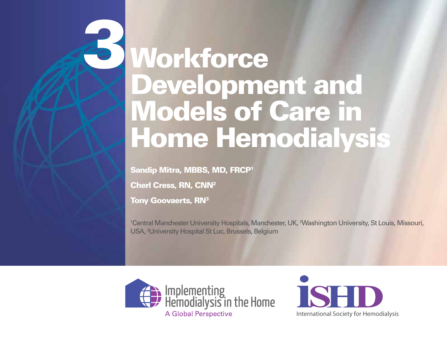# Workforce Development and Models of Care in Home Hemodialysis

Sandip Mitra, MBBS, MD, FRCP1

Cherl Cress, RN, CNN2

Tony Goovaerts, RN<sup>3</sup>

<sup>1</sup>Central Manchester University Hospitals, Manchester, UK, <sup>2</sup>Washington University, St Louis, Missouri, USA, <sup>3</sup>University Hospital St Luc, Brussels, Belgium



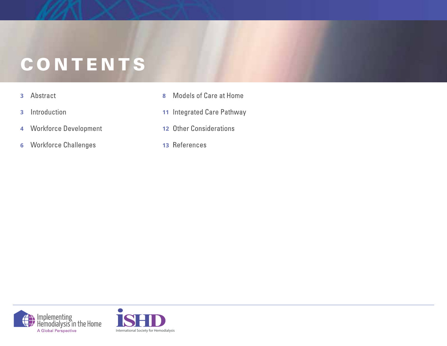# **CONTENTS**

2 Workforce and Models of Care and Models of Care and Models of Care and Models of Care and

- **3** Abstract
- Introduction **3**
- **Workforce Development 4**
- **Workforce Challenges 6**
- **Models of Care at Home 8**
- **11** Integrated Care Pathway
- **12 Other Considerations**
- **13**



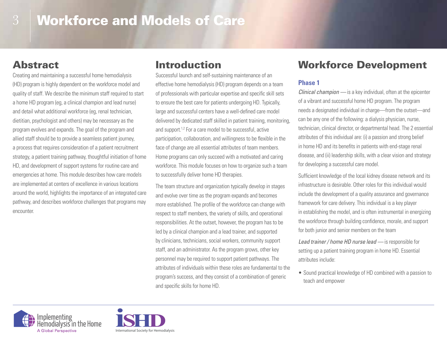### Abstract

Creating and maintaining a successful home hemodialysis (HD) program is highly dependent on the workforce model and quality of staff. We describe the minimum staff required to start a home HD program (eg, a clinical champion and lead nurse) and detail what additional workforce (eg, renal technician, dietitian, psychologist and others) may be necessary as the program evolves and expands. The goal of the program and allied staff should be to provide a seamless patient journey, a process that requires consideration of a patient recruitment strategy, a patient training pathway, thoughtful initiation of home HD, and development of support systems for routine care and emergencies at home. This module describes how care models are implemented at centers of excellence in various locations around the world, highlights the importance of an integrated care pathway, and describes workforce challenges that programs may encounter.

#### Introduction

Successful launch and self-sustaining maintenance of an effective home hemodialysis (HD) program depends on a team of professionals with particular expertise and specific skill sets to ensure the best care for patients undergoing HD. Typically, large and successful centers have a well-defined care model delivered by dedicated staff skilled in patient training, monitoring, and support.<sup>1,2</sup> For a care model to be successful, active participation, collaboration, and willingness to be flexible in the face of change are all essential attributes of team members. Home programs can only succeed with a motivated and caring workforce. This module focuses on how to organize such a team to successfully deliver home HD therapies.

The team structure and organization typically develop in stages and evolve over time as the program expands and becomes more established. The profile of the workforce can change with respect to staff members, the variety of skills, and operational responsibilities. At the outset, however, the program has to be led by a clinical champion and a lead trainer, and supported by clinicians, technicians, social workers, community support staff, and an administrator. As the program grows, other key personnel may be required to support patient pathways. The attributes of individuals within these roles are fundamental to the program's success, and they consist of a combination of generic and specific skills for home HD.

### Workforce Development

#### **Phase 1**

*Clinical champion —* is a key individual, often at the epicenter of a vibrant and successful home HD program. The program needs a designated individual in charge—from the outset—and can be any one of the following: a dialysis physician, nurse, technician, clinical director, or departmental head. The 2 essential attributes of this individual are: (i) a passion and strong belief in home HD and its benefits in patients with end-stage renal disease, and (ii) leadership skills, with a clear vision and strategy for developing a successful care model.

Sufficient knowledge of the local kidney disease network and its infrastructure is desirable. Other roles for this individual would include the development of a quality assurance and governance framework for care delivery. This individual is a key player in establishing the model, and is often instrumental in energizing the workforce through building confidence, morale, and support for both junior and senior members on the team

*Lead trainer / home HD nurse lead —* is responsible for setting up a patient training program in home HD. Essential attributes include:

• Sound practical knowledge of HD combined with a passion to teach and empower



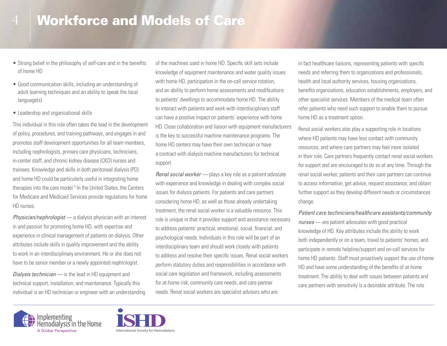- Strong belief in the philosophy of self-care and in the benefits of home HD
- Good communication skills, including an understanding of adult learning techniques and an ability to speak the local language(s)
- Leadership and organizational skills

This individual in this role often takes the lead in the development of policy, procedures, and training pathways, and engages in and promotes staff development opportunities for all team members, including nephrologists, primary care physicians, technicians, in-center staff, and chronic kidney disease (CKD) nurses and trainees. Knowledge and skills in both peritoneal dialysis (PD) and home HD could be particularly useful in integrating home therapies into the care model.3 In the United States, the Centers for Medicare and Medicaid Services provide regulations for home HD nurses.

*Physician/nephrologist —* a dialysis physician with an interest in and passion for promoting home HD, with expertise and experience in clinical management of patients on dialysis. Other attributes include skills in quality improvement and the ability to work in an interdisciplinary environment. He or she does not have to be senior member or a newly appointed nephrologist.

*Dialysis technician —* is the lead in HD equipment and technical support, installation, and maintenance. Typically this individual is an HD technician or engineer with an understanding

of the machines used in home HD. Specific skill sets include knowledge of equipment maintenance and water quality issues with home HD, participation in the on-call service rotation, and an ability to perform home assessments and modifications to patients' dwellings to accommodate home HD. The ability to interact with patients and work with interdisciplinary staff can have a positive impact on patients' experience with home HD. Close collaboration and liaison with equipment manufacturers is the key to successful machine maintenance programs. The home HD centers may have their own technician or have a contract with dialysis machine manufacturers for technical support.

*Renal social worker —* plays a key role as a patient advocate with experience and knowledge in dealing with complex social issues for dialysis patients. For patients and care partners considering home HD, as well as those already undertaking treatment, the renal social worker is a valuable resource. This role is unique in that it provides support and assistance necessary to address patients' practical, emotional, social, financial, and psychological needs. Individuals in this role will be part of an interdisciplinary team and should work closely with patients to address and resolve their specific issues. Renal social workers perform statutory duties and responsibilities in accordance with social care legislation and framework, including assessments for at-home risk, community care needs, and care partner needs. Renal social workers are specialist advisors who are

in fact healthcare liaisons, representing patients with specific needs and referring them to organizations and professionals, health and local authority services, housing organizations, benefits organizations, education establishments, employers, and other specialist services. Members of the medical team often refer patients who need such support to enable them to pursue home HD as a treatment option.

Renal social workers also play a supporting role in locations where HD patients may have less contact with community resources, and where care partners may feel more isolated in their role. Care partners frequently contact renal social workers for support and are encouraged to do so at any time. Through the renal social worker, patients and their care partners can continue to access information, get advice, request assistance, and obtain further support as they develop different needs or circumstances change.

*Patient care technicians/healthcare assistants/community nurses —* are patient advocates with good practical knowledge of HD. Key attributes include the ability to work both independently or on a team, travel to patients' homes, and participate in remote helpline/support and on-call services for home HD patients. Staff must proactively support the use of home HD and have some understanding of the benefits of at-home treatment. The ability to deal with issues between patients and care partners with sensitivity is a desirable attribute. The role



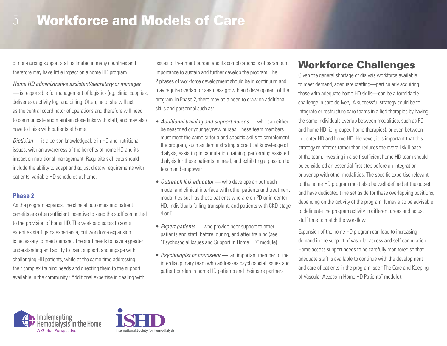of non-nursing support staff is limited in many countries and therefore may have little impact on a home HD program.

*Home HD administrative assistant/secretary or manager* 

*—* is responsible for management of logistics (eg, clinic, supplies, deliveries), activity log, and billing. Often, he or she will act as the central coordinator of operations and therefore will need to communicate and maintain close links with staff, and may also have to liaise with patients at home.

*Dietician —* is a person knowledgeable in HD and nutritional issues, with an awareness of the benefits of home HD and its impact on nutritional management. Requisite skill sets should include the ability to adapt and adjust dietary requirements with patients' variable HD schedules at home.

#### **Phase 2**

As the program expands, the clinical outcomes and patient benefits are often sufficient incentive to keep the staff committed to the provision of home HD. The workload eases to some extent as staff gains experience, but workforce expansion is necessary to meet demand. The staff needs to have a greater understanding and ability to train, support, and engage with challenging HD patients, while at the same time addressing their complex training needs and directing them to the support available in the community.<sup>3</sup> Additional expertise in dealing with

issues of treatment burden and its complications is of paramount importance to sustain and further develop the program. The 2 phases of workforce development should be in continuum and may require overlap for seamless growth and development of the program. In Phase 2, there may be a need to draw on additional skills and personnel such as:

- *Additional training and support nurses —* who can either be seasoned or younger/new nurses. These team members must meet the same criteria and specific skills to complement the program, such as demonstrating a practical knowledge of dialysis, assisting in cannulation training, performing assisted dialysis for those patients in need, and exhibiting a passion to teach and empower
- *Outreach link educator —* who develops an outreach model and clinical interface with other patients and treatment modalities such as those patients who are on PD or in-center HD, individuals failing transplant, and patients with CKD stage 4 or 5
- *Expert patients —* who provide peer support to other patients and staff, before, during, and after training (see "Psychosocial Issues and Support in Home HD" module)
- *Psychologist or counselor —* an important member of the interdisciplinary team who addresses psychosocial issues and patient burden in home HD patients and their care partners

### Workforce Challenges

Given the general shortage of dialysis workforce available to meet demand, adequate staffing—particularly acquiring those with adequate home HD skills—can be a formidable challenge in care delivery. A successful strategy could be to integrate or restructure care teams in allied therapies by having the same individuals overlap between modalities, such as PD and home HD (ie, grouped home therapies), or even between in-center HD and home HD. However, it is important that this strategy reinforces rather than reduces the overall skill base of the team. Investing in a self-sufficient home HD team should be considered an essential first step before an integration or overlap with other modalities. The specific expertise relevant to the home HD program must also be well-defined at the outset and have dedicated time set aside for these overlapping positions, depending on the activity of the program. It may also be advisable to delineate the program activity in different areas and adjust staff time to match the workflow.

Expansion of the home HD program can lead to increasing demand in the support of vascular access and self-cannulation. Home access support needs to be carefully monitored so that adequate staff is available to continue with the development and care of patients in the program (see "The Care and Keeping of Vascular Access in Home HD Patients" module).



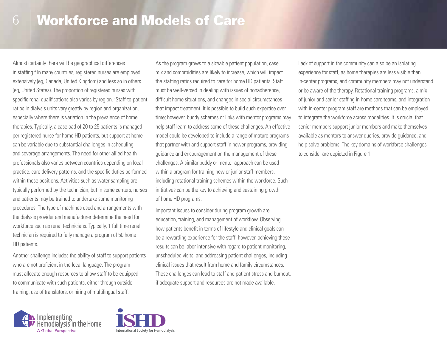Almost certainly there will be geographical differences in staffing.<sup>4</sup> In many countries, registered nurses are employed extensively (eg, Canada, United Kingdom) and less so in others (eg, United States). The proportion of registered nurses with specific renal qualifications also varies by region.<sup>5</sup> Staff-to-patient ratios in dialysis units vary greatly by region and organization, especially where there is variation in the prevalence of home therapies. Typically, a caseload of 20 to 25 patients is managed per registered nurse for home HD patients, but support at home can be variable due to substantial challenges in scheduling and coverage arrangements. The need for other allied health professionals also varies between countries depending on local practice, care delivery patterns, and the specific duties performed within these positions. Activities such as water sampling are typically performed by the technician, but in some centers, nurses and patients may be trained to undertake some monitoring procedures. The type of machines used and arrangements with the dialysis provider and manufacturer determine the need for workforce such as renal technicians. Typically, 1 full time renal technician is required to fully manage a program of 50 home HD patients.

Another challenge includes the ability of staff to support patients who are not proficient in the local language. The program must allocate enough resources to allow staff to be equipped to communicate with such patients, either through outside training, use of translators, or hiring of multilingual staff.

As the program grows to a sizeable patient population, case mix and comorbidities are likely to increase, which will impact the staffing ratios required to care for home HD patients. Staff must be well-versed in dealing with issues of nonadherence, difficult home situations, and changes in social circumstances that impact treatment. It is possible to build such expertise over time; however, buddy schemes or links with mentor programs may help staff learn to address some of these challenges. An effective model could be developed to include a range of mature programs that partner with and support staff in newer programs, providing guidance and encouragement on the management of these challenges. A similar buddy or mentor approach can be used within a program for training new or junior staff members, including rotational training schemes within the workforce. Such initiatives can be the key to achieving and sustaining growth of home HD programs.

Important issues to consider during program growth are education, training, and management of workflow. Observing how patients benefit in terms of lifestyle and clinical goals can be a rewarding experience for the staff; however, achieving these results can be labor-intensive with regard to patient monitoring, unscheduled visits, and addressing patient challenges, including clinical issues that result from home and family circumstances. These challenges can lead to staff and patient stress and burnout, if adequate support and resources are not made available.

Lack of support in the community can also be an isolating experience for staff, as home therapies are less visible than in-center programs, and community members may not understand or be aware of the therapy. Rotational training programs, a mix of junior and senior staffing in home care teams, and integration with in-center program staff are methods that can be employed to integrate the workforce across modalities. It is crucial that senior members support junior members and make themselves available as mentors to answer queries, provide guidance, and help solve problems. The key domains of workforce challenges to consider are depicted in Figure 1.



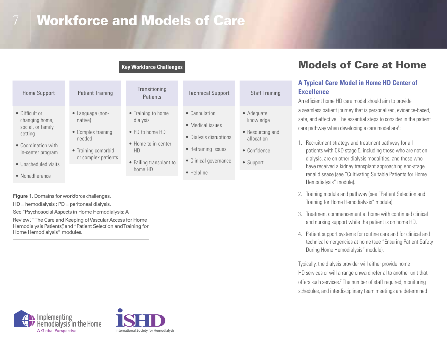| <b>Key Workforce Challenges</b>                                                                                                      |                                                                                                           |                                                                                                           |                                                                                                             |                                                                                        |                                                                |
|--------------------------------------------------------------------------------------------------------------------------------------|-----------------------------------------------------------------------------------------------------------|-----------------------------------------------------------------------------------------------------------|-------------------------------------------------------------------------------------------------------------|----------------------------------------------------------------------------------------|----------------------------------------------------------------|
| <b>Home Support</b>                                                                                                                  | <b>Patient Training</b>                                                                                   | Transitioning<br><b>Patients</b>                                                                          | <b>Technical Support</b>                                                                                    | <b>Staff Training</b>                                                                  | <b>A</b> Typic<br><b>Excell</b><br>An efficie                  |
| · Difficult or<br>changing home,<br>social, or family<br>setting<br>• Coordination with<br>in-center program<br>• Unscheduled visits | • Language (non-<br>native)<br>• Complex training<br>needed<br>• Training comorbid<br>or complex patients | • Training to home<br>dialysis<br>• PD to home HD<br>• Home to in-center<br>HD<br>• Failing transplant to | • Cannulation<br>• Medical issues<br>• Dialysis disruptions<br>• Retraining issues<br>• Clinical governance | • Adequate<br>knowledge<br>• Resourcing and<br>allocation<br>• Confidence<br>• Support | a seamle<br>safe, and<br>care path<br>Recru<br>patie<br>dialy: |
| • Nonadherence                                                                                                                       |                                                                                                           | home HD                                                                                                   | $\bullet$ Helpline                                                                                          |                                                                                        | have<br>renal                                                  |

### Models of Care at Home

#### **A Typical Care Model in Home HD Center of**  ence

ent home HD care model should aim to provide ess patient journey that is personalized, evidence-based, l effective. The essential steps to consider in the patient care pathway when developing a care model are<sup>6</sup>:

- uitment strategy and treatment pathway for all ents with CKD stage 5, including those who are not on sis, are on other dialysis modalities, and those who received a kidney transplant approaching end-stage disease (see "Cultivating Suitable Patients for Home Hemodialysis" module).
- 2. Training module and pathway (see "Patient Selection and Training for Home Hemodialysis" module).
- 3. Treatment commencement at home with continued clinical and nursing support while the patient is on home HD.
- 4. Patient support systems for routine care and for clinical and technical emergencies at home (see "Ensuring Patient Safety During Home Hemodialysis" module).

Typically, the dialysis provider will either provide home HD services or will arrange onward referral to another unit that offers such services.<sup>7</sup> The number of staff required, monitoring schedules, and interdisciplinary team meetings are determined

#### **Figure 1.** Domains for workforce challenges.

HD = hemodialysis ; PD = peritoneal dialysis.

See "Psychosocial Aspects in Home Hemodialysis: A

Review", "The Care and Keeping of Vascular Access for Home Hemodialysis Patients", and "Patient Selection and Training for Home Hemodialysis" modules.

Implementing<br>Hemodialysis in the Home **A Global Perspective** 

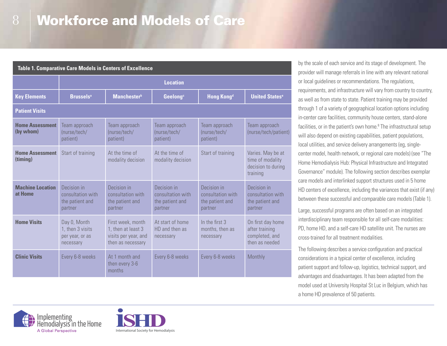| <b>Table 1. Comparative Care Models in Centers of Excellence</b> |                                                                  |                                                                                      |                                                                |                                                                |                                                                         |
|------------------------------------------------------------------|------------------------------------------------------------------|--------------------------------------------------------------------------------------|----------------------------------------------------------------|----------------------------------------------------------------|-------------------------------------------------------------------------|
|                                                                  | <b>Location</b>                                                  |                                                                                      |                                                                |                                                                |                                                                         |
| <b>Key Elements</b>                                              | <b>Brussels<sup>a</sup></b>                                      | <b>Manchester</b> <sup>b</sup>                                                       | Geelong <sup>c</sup>                                           | Hong Kong <sup>d</sup>                                         | <b>United States<sup>e</sup></b>                                        |
| <b>Patient Visits</b>                                            |                                                                  |                                                                                      |                                                                |                                                                |                                                                         |
| <b>Home Assessment</b><br>(by whom)                              | Team approach<br>(nurse/tech/<br>patient)                        | Team approach<br>(nurse/tech/<br>patient)                                            | Team approach<br>(nurse/tech/<br>patient)                      | Team approach<br>(nurse/tech/<br>patient)                      | Team approach<br>(nurse/tech/patient)                                   |
| <b>Home Assessment</b><br>(timing)                               | Start of training                                                | At the time of<br>modality decision                                                  | At the time of<br>modality decision                            | Start of training                                              | Varies. May be at<br>time of modality<br>decision to during<br>training |
| <b>Machine Location</b><br>at Home                               | Decision in<br>consultation with<br>the patient and<br>partner   | Decision in<br>consultation with<br>the patient and<br>partner                       | Decision in<br>consultation with<br>the patient and<br>partner | Decision in<br>consultation with<br>the patient and<br>partner | Decision in<br>consultation with<br>the patient and<br>partner          |
| <b>Home Visits</b>                                               | Day 0, Month<br>1, then 3 visits<br>per year, or as<br>necessary | First week, month<br>1, then at least 3<br>visits per year, and<br>then as necessary | At start of home<br>HD and then as<br>necessary                | In the first 3<br>months, then as<br>necessary                 | On first day home<br>after training<br>completed, and<br>then as needed |
| <b>Clinic Visits</b>                                             | Every 6-8 weeks                                                  | At 1 month and<br>then every 3-6<br>months                                           | Every 6-8 weeks                                                | Every 6-8 weeks                                                | Monthly                                                                 |

by the scale of each service and its stage of development. The provider will manage referrals in line with any relevant national or local guidelines or recommendations. The regulations, requirements, and infrastructure will vary from country to country, as well as from state to state. Patient training may be provided through 1 of a variety of geographical location options including in-center care facilities, community house centers, stand-alone facilities, or in the patient's own home.<sup>8</sup> The infrastructural setup will also depend on existing capabilities, patient populations, local utilities, and service delivery arrangements (eg, singlecenter model, health network, or regional care models) (see "The Home Hemodialysis Hub: Physical Infrastructure and Integrated Governance" module). The following section describes exemplar care models and interlinked support structures used in 5 home HD centers of excellence, including the variances that exist (if any) between these successful and comparable care models (Table 1).

Large, successful programs are often based on an integrated interdisciplinary team responsible for all self-care modalities: PD, home HD, and a self-care HD satellite unit. The nurses are cross-trained for all treatment modalities.

The following describes a service configuration and practical considerations in a typical center of excellence, including patient support and follow-up, logistics, technical support, and advantages and disadvantages. It has been adapted from the model used at University Hospital St Luc in Belgium, which has a home HD prevalence of 50 patients.



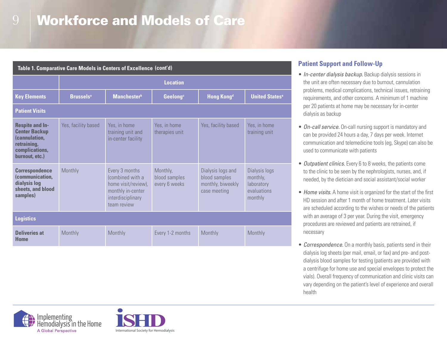| Table 1. Comparative Care Models in Centers of Excellence (cont'd)                                                 |                              |                                                                                                                    |                                            |                                                                         |                                                                   |
|--------------------------------------------------------------------------------------------------------------------|------------------------------|--------------------------------------------------------------------------------------------------------------------|--------------------------------------------|-------------------------------------------------------------------------|-------------------------------------------------------------------|
|                                                                                                                    | <b>Location</b>              |                                                                                                                    |                                            |                                                                         |                                                                   |
| <b>Key Elements</b>                                                                                                | <b>Brussels</b> <sup>a</sup> | <b>Manchester</b> <sup>b</sup>                                                                                     | <b>Geelong</b> <sup>c</sup>                | Hong Kong <sup>d</sup>                                                  | <b>United States<sup>e</sup></b>                                  |
| <b>Patient Visits</b>                                                                                              |                              |                                                                                                                    |                                            |                                                                         |                                                                   |
| <b>Respite and In-</b><br><b>Center Backup</b><br>(cannulation,<br>retraining,<br>complications,<br>burnout, etc.) | Yes, facility based          | Yes, in home<br>training unit and<br>in-center facility                                                            | Yes, in home<br>therapies unit             | Yes, facility based                                                     | Yes, in home<br>training unit                                     |
| <b>Correspondence</b><br>(communication,<br>dialysis log<br>sheets, and blood<br>samples)                          | Monthly                      | Every 3 months<br>(combined with a<br>home visit/review),<br>monthly in-center<br>interdisciplinary<br>team review | Monthly,<br>blood samples<br>every 6 weeks | Dialysis logs and<br>blood samples<br>monthly, biweekly<br>case meeting | Dialysis logs<br>monthly,<br>laboratory<br>evaluations<br>monthly |
| <b>Logistics</b>                                                                                                   |                              |                                                                                                                    |                                            |                                                                         |                                                                   |
| <b>Deliveries at</b><br><b>Home</b>                                                                                | Monthly                      | Monthly                                                                                                            | Every 1-2 months                           | Monthly                                                                 | Monthly                                                           |

#### **Patient Support and Follow-Up**

- *In-center dialysis backup.* Backup dialysis sessions in the unit are often necessary due to burnout, cannulation problems, medical complications, technical issues, retraining requirements, and other concerns. A minimum of 1 machine per 20 patients at home may be necessary for in-center dialysis as backup
- *On-call service.* On-call nursing support is mandatory and can be provided 24 hours a day, 7 days per week. Internet communication and telemedicine tools (eg, Skype) can also be used to communicate with patients
- *Outpatient clinics.* Every 6 to 8 weeks, the patients come to the clinic to be seen by the nephrologists, nurses, and, if needed, by the dietician and social assistant/social worker
- *Home visits.* A home visit is organized for the start of the first HD session and after 1 month of home treatment. Later visits are scheduled according to the wishes or needs of the patients with an average of 3 per year. During the visit, emergency procedures are reviewed and patients are retrained, if necessary
- *Correspondence.* On a monthly basis, patients send in their dialysis log sheets (per mail, email, or fax) and pre- and postdialysis blood samples for testing (patients are provided with a centrifuge for home use and special envelopes to protect the vials). Overall frequency of communication and clinic visits can vary depending on the patient's level of experience and overall health



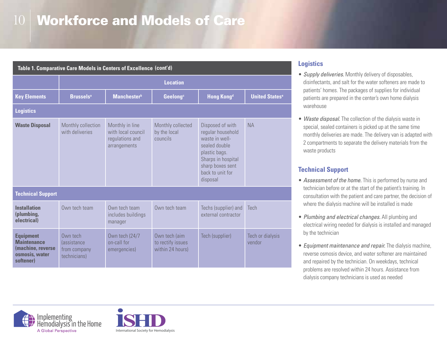| Table 1. Comparative Care Models in Centers of Excellence (cont'd)                         |                                                                 |                                                                          |                                                        |                                                                                                                                                                     |                                  |  |
|--------------------------------------------------------------------------------------------|-----------------------------------------------------------------|--------------------------------------------------------------------------|--------------------------------------------------------|---------------------------------------------------------------------------------------------------------------------------------------------------------------------|----------------------------------|--|
|                                                                                            |                                                                 | <b>Location</b>                                                          |                                                        |                                                                                                                                                                     |                                  |  |
| <b>Key Elements</b>                                                                        | <b>Brussels<sup>a</sup></b>                                     | <b>Manchester</b> <sup>b</sup>                                           | <b>Geelong</b> <sup>c</sup>                            | <b>Hong Kongd</b>                                                                                                                                                   | <b>United States<sup>e</sup></b> |  |
| <b>Logistics</b>                                                                           |                                                                 |                                                                          |                                                        |                                                                                                                                                                     |                                  |  |
| <b>Waste Disposal</b>                                                                      | Monthly collection<br>with deliveries                           | Monthly in line<br>with local council<br>regulations and<br>arrangements | Monthly collected<br>by the local<br>councils          | Disposed of with<br>regular household<br>waste in well-<br>sealed double<br>plastic bags.<br>Sharps in hospital<br>sharp boxes sent<br>back to unit for<br>disposal | <b>NA</b>                        |  |
| <b>Technical Support</b>                                                                   |                                                                 |                                                                          |                                                        |                                                                                                                                                                     |                                  |  |
| <b>Installation</b><br>(plumbing,<br>electrical)                                           | Own tech team                                                   | Own tech team<br>includes buildings<br>manager                           | Own tech team                                          | Techs (supplier) and<br>external contractor                                                                                                                         | Tech                             |  |
| <b>Equipment</b><br><b>Maintenance</b><br>(machine, reverse<br>osmosis, water<br>softener) | Own tech<br><i>(assistance)</i><br>from company<br>technicians) | Own tech (24/7<br>on-call for<br>emergencies)                            | Own tech (aim<br>to rectify issues<br>within 24 hours) | Tech (supplier)                                                                                                                                                     | Tech or dialysis<br>vendor       |  |

- *Supply deliveries.* Monthly delivery of disposables, disinfectants, and salt for the water softeners are made to patients' homes. The packages of supplies for individual patients are prepared in the center's own home dialysis warehouse
- *Waste disposal.* The collection of the dialysis waste in special, sealed containers is picked up at the same time monthly deliveries are made. The delivery van is adapted with 2 compartments to separate the delivery materials from the waste products

#### **Technical Support**

- *Assessment of the home.* This is performed by nurse and technician before or at the start of the patient's training. In consultation with the patient and care partner, the decision of where the dialysis machine will be installed is made
- *Plumbing and electrical changes.* All plumbing and electrical wiring needed for dialysis is installed and managed by the technician
- *Equipment maintenance and repair.* The dialysis machine, reverse osmosis device, and water softener are maintained and repaired by the technician. On weekdays, technical problems are resolved within 24 hours. Assistance from dialysis company technicians is used as needed



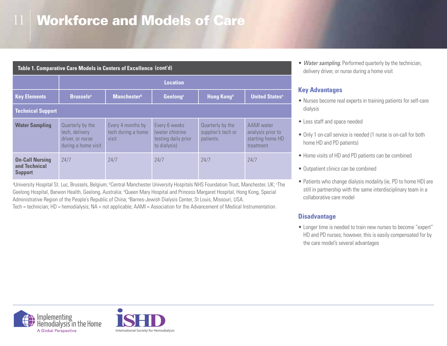| Table 1. Comparative Care Models in Centers of Excellence (cont'd) |                                                                               |                                                  |                                                                         |                                                     |                                                                         |
|--------------------------------------------------------------------|-------------------------------------------------------------------------------|--------------------------------------------------|-------------------------------------------------------------------------|-----------------------------------------------------|-------------------------------------------------------------------------|
|                                                                    | <b>Location</b>                                                               |                                                  |                                                                         |                                                     |                                                                         |
| <b>Key Elements</b>                                                | <b>Brussels</b> <sup>a</sup>                                                  | <b>Manchester</b> <sup>b</sup>                   | <b>Geelong</b> <sup>c</sup>                                             | <b>Hong Kongd</b>                                   | <b>United States<sup>e</sup></b>                                        |
| <b>Technical Support</b>                                           |                                                                               |                                                  |                                                                         |                                                     |                                                                         |
| <b>Water Sampling</b>                                              | Quarterly by the<br>tech, delivery<br>driver, or nurse<br>during a home visit | Every 4 months by<br>tech during a home<br>visit | Every 6 weeks<br>(water chlorine<br>testing daily prior<br>to dialysis) | Quarterly by the<br>supplier's tech or<br>patients. | <b>AAMI</b> water<br>analysis prior to<br>starting home HD<br>treatment |
| <b>On-Call Nursing</b><br>and Technical<br><b>Support</b>          | 24/7                                                                          | 24/7                                             | 24/7                                                                    | 24/7                                                | 24/7                                                                    |

ªUniversity Hospital St. Luc, Brussels, Belgium; <sup>ь</sup>Central Manchester University Hospitals NHS Foundation Trust, Manchester, UK; °The Geelong Hospital, Barwon Health, Geelong, Australia; dQueen Mary Hospital and Princess Margaret Hospital, Hong Kong, Special Administrative Region of the People's Republic of China; ®Barnes-Jewish Dialysis Center, St Louis, Missouri, USA.

Tech = technician; HD = hemodialysis; NA = not applicable; AAMI = Association for the Advancement of Medical Instrumentation.

• *Water sampling.* Performed quarterly by the technician, delivery driver, or nurse during a home visit

#### **Key Advantages**

- Nurses become real experts in training patients for self-care dialysis
- Less staff and space needed
- Only 1 on-call service is needed (1 nurse is on-call for both home HD and PD patients)
- Home visits of HD and PD patients can be combined
- Outpatient clinics can be combined
- Patients who change dialysis modality (ie, PD to home HD) are still in partnership with the same interdisciplinary team in a collaborative care model

#### **Disadvantage**

• Longer time is needed to train new nurses to become "expert" HD and PD nurses; however, this is easily compensated for by the care model's several advantages



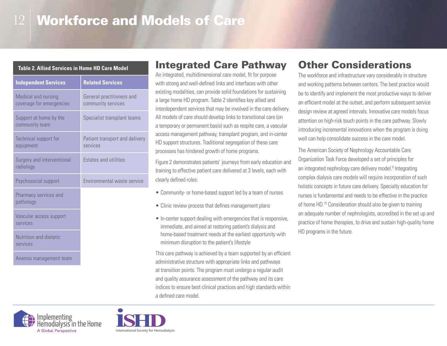| <b>Table 2. Allied Services in Home HD Care Model</b> |                                                 |  |  |  |
|-------------------------------------------------------|-------------------------------------------------|--|--|--|
| <b>Independent Services</b>                           | <b>Related Services</b>                         |  |  |  |
| Medical and nursing<br>coverage for emergencies       | General practitioners and<br>community services |  |  |  |
| Support at home by the<br>community team              | Specialist transplant teams                     |  |  |  |
| Technical support for<br>equipment                    | Patient transport and delivery<br>services      |  |  |  |
| Surgery and interventional<br>radiology               | <b>Estates and utilities</b>                    |  |  |  |
| Psychosocial support                                  | Environmental waste service                     |  |  |  |
| Pharmacy services and<br>pathology                    |                                                 |  |  |  |
| Vascular access support<br>services                   |                                                 |  |  |  |
| <b>Nutrition and dietetic</b><br>services             |                                                 |  |  |  |
| Anemia management team                                |                                                 |  |  |  |

### Integrated Care Pathway

An integrated, multidimensional care model, fit for purpose with strong and well-defined links and interfaces with other existing modalities, can provide solid foundations for sustaining a large home HD program. Table 2 identifies key allied and interdependent services that may be involved in the care delivery. All models of care should develop links to transitional care (on a temporary or permanent basis) such as respite care, a vascular access management pathway, transplant program, and in-center HD support structures. Traditional segregation of these care processes has hindered growth of home programs.

Figure 2 demonstrates patients' journeys from early education and training to effective patient care delivered at 3 levels, each with clearly defined roles:

- Community- or home-based support led by a team of nurses
- Clinic review process that defines management plans
- In-center support dealing with emergencies that is responsive, immediate, and aimed at restoring patient's dialysis and home-based treatment needs at the earliest opportunity with minimum disruption to the patient's lifestyle

This care pathway is achieved by a team supported by an efficient administrative structure with appropriate links and pathways at transition points. The program must undergo a regular audit and quality assurance assessment of the pathway and its care indices to ensure best clinical practices and high standards within a defined care model.

#### mplementing<br>Hemodialysis in the Home **A Global Perspective**



### Other Considerations

The workforce and infrastructure vary considerably in structure and working patterns between centers. The best practice would be to identify and implement the most productive ways to deliver an efficient model at the outset, and perform subsequent service design review at agreed intervals. Innovative care models focus attention on high-risk touch points in the care pathway. Slowly introducing incremental innovations when the program is doing well can help consolidate success in the care model.

The American Society of Nephrology Accountable Care Organization Task Force developed a set of principles for an integrated nephrology care delivery model.<sup>9</sup> Integrating complex dialysis care models will require incorporation of such holistic concepts in future care delivery. Specialty education for nurses is fundamental and needs to be effective in the practice of home HD.10 Consideration should also be given to training an adequate number of nephrologists, accredited in the set up and practice of home therapies, to drive and sustain high-quality home HD programs in the future.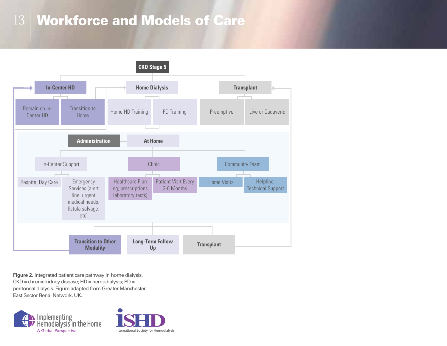

**Figure 2.** Integrated patient care pathway in home dialysis.  $CKD =$  chronic kidney disease;  $HD =$  hemodialysis;  $PD =$ peritoneal dialysis. Figure adapted from Greater Manchester East Sector Renal Network, UK.